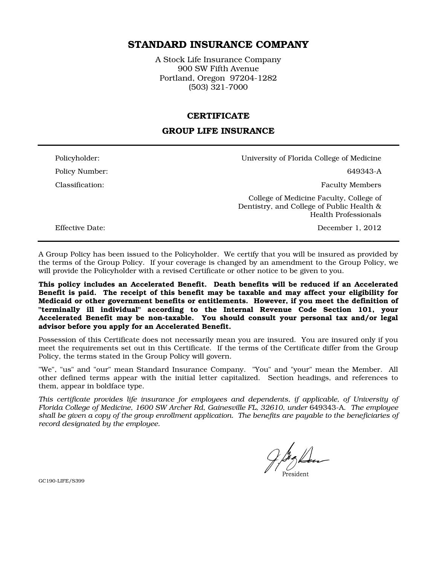# STANDARD INSURANCE COMPANY

A Stock Life Insurance Company 900 SW Fifth Avenue Portland, Oregon 97204-1282 (503) 321-7000

#### CERTIFICATE

#### GROUP LIFE INSURANCE

Policyholder: University of Florida College of Medicine Policy Number: 649343-A Classification: Faculty Members College of Medicine Faculty, College of Dentistry, and College of Public Health & Health Professionals Effective Date: December 1, 2012

A Group Policy has been issued to the Policyholder. We certify that you will be insured as provided by the terms of the Group Policy. If your coverage is changed by an amendment to the Group Policy, we will provide the Policyholder with a revised Certificate or other notice to be given to you.

This policy includes an Accelerated Benefit. Death benefits will be reduced if an Accelerated Benefit is paid. The receipt of this benefit may be taxable and may affect your eligibility for Medicaid or other government benefits or entitlements. However, if you meet the definition of "terminally ill individual" according to the Internal Revenue Code Section 101, your Accelerated Benefit may be non-taxable. You should consult your personal tax and/or legal advisor before you apply for an Accelerated Benefit.

Possession of this Certificate does not necessarily mean you are insured. You are insured only if you meet the requirements set out in this Certificate. If the terms of the Certificate differ from the Group Policy, the terms stated in the Group Policy will govern.

"We", "us" and "our" mean Standard Insurance Company. "You" and "your" mean the Member. All other defined terms appear with the initial letter capitalized. Section headings, and references to them, appear in boldface type.

*This certificate provides life insurance for employees and dependents, if applicable, of University of Florida College of Medicine, 1600 SW Archer Rd, Gainesville FL, 32610, under* 649343-A. *The employee shall be given a copy of the group enrollment application. The benefits are payable to the beneficiaries of record designated by the employee.* 

GC190-LIFE/S399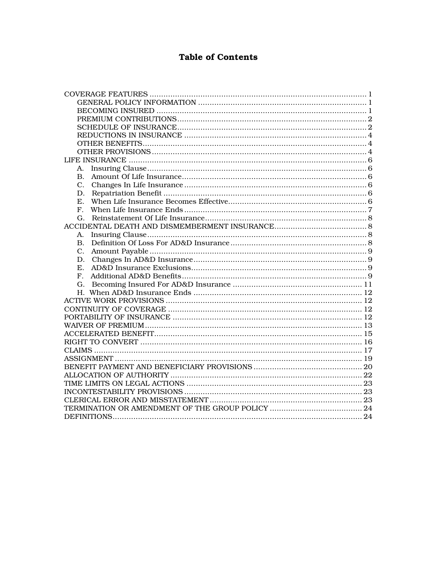# **Table of Contents**

| А.             |  |
|----------------|--|
| В.             |  |
| C.             |  |
| D.             |  |
| Е.             |  |
| $\mathbf{F}$ . |  |
| G.             |  |
|                |  |
| А.             |  |
| <b>B.</b>      |  |
| C.             |  |
| D.             |  |
| Е.             |  |
| $F_{\rm c}$    |  |
| G.             |  |
|                |  |
|                |  |
|                |  |
|                |  |
|                |  |
|                |  |
|                |  |
|                |  |
|                |  |
|                |  |
|                |  |
|                |  |
|                |  |
|                |  |
|                |  |
|                |  |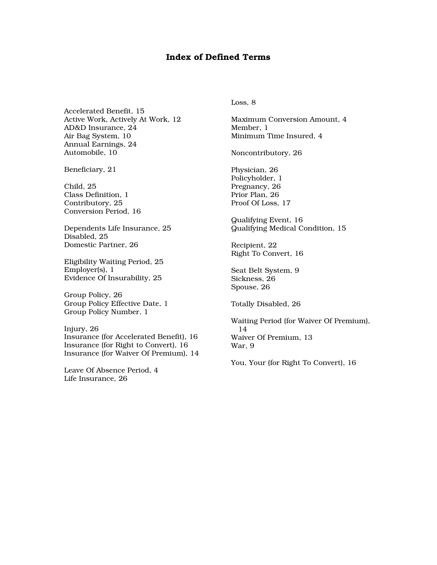### Index of Defined Terms

Accelerated Benefit, 15 Active Work, Actively At Work, 12 AD&D Insurance, 24 Air Bag System, 10 Annual Earnings, 24 Automobile, 10

Beneficiary, 21

Child, 25 Class Definition, 1 Contributory, 25 Conversion Period, 16

Dependents Life Insurance, 25 Disabled, 25 Domestic Partner, 26

Eligibility Waiting Period, 25 Employer(s), 1 Evidence Of Insurability, 25

Group Policy, 26 Group Policy Effective Date, 1 Group Policy Number, 1

Injury, 26 Insurance (for Accelerated Benefit), 16 Insurance (for Right to Convert), 16 Insurance (for Waiver Of Premium), 14

Leave Of Absence Period, 4 Life Insurance, 26

Loss, 8

Maximum Conversion Amount, 4 Member, 1 Minimum Time Insured, 4

Noncontributory, 26

Physician, 26 Policyholder, 1 Pregnancy, 26 Prior Plan, 26 Proof Of Loss, 17

Qualifying Event, 16 Qualifying Medical Condition, 15

Recipient, 22 Right To Convert, 16

Seat Belt System, 9 Sickness, 26 Spouse, 26

Totally Disabled, 26

Waiting Period (for Waiver Of Premium), 14 Waiver Of Premium, 13 War, 9

You, Your (for Right To Convert), 16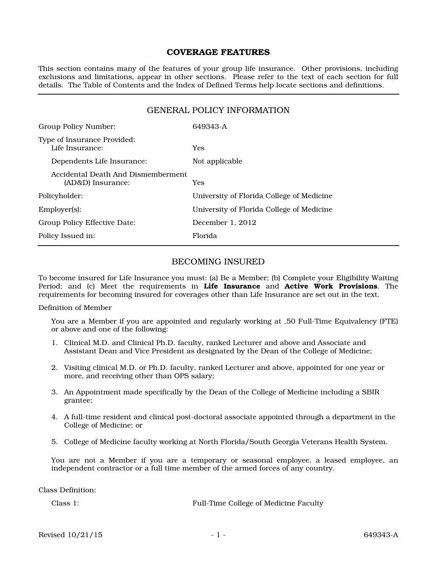#### COVERAGE FEATURES

This section contains many of the features of your group life insurance. Other provisions, including exclusions and limitations, appear in other sections. Please refer to the text of each section for full details. The Table of Contents and the Index of Defined Terms help locate sections and definitions.

### GENERAL POLICY INFORMATION

| Group Policy Number:                                    | 649343-A                                  |
|---------------------------------------------------------|-------------------------------------------|
| Type of Insurance Provided:<br>Life Insurance:          | Yes                                       |
| Dependents Life Insurance:                              | Not applicable                            |
| Accidental Death And Dismemberment<br>(AD&D) Insurance: | Yes                                       |
| Policyholder:                                           | University of Florida College of Medicine |
| $Emplover(s)$ :                                         | University of Florida College of Medicine |
| Group Policy Effective Date:                            | December 1, 2012                          |
| Policy Issued in:                                       | Florida                                   |

#### BECOMING INSURED

To become insured for Life Insurance you must: (a) Be a Member; (b) Complete your Eligibility Waiting Period; and (c) Meet the requirements in Life Insurance and Active Work Provisions. The requirements for becoming insured for coverages other than Life Insurance are set out in the text.

#### Definition of Member

You are a Member if you are appointed and regularly working at .50 Full-Time Equivalency (FTE) or above and one of the following:

- 1. Clinical M.D. and Clinical Ph.D. faculty, ranked Lecturer and above and Associate and Assistant Dean and Vice President as designated by the Dean of the College of Medicine;
- 2. Visiting clinical M.D. or Ph.D. faculty, ranked Lecturer and above, appointed for one year or more, and receiving other than OPS salary;
- 3. An Appointment made specifically by the Dean of the College of Medicine including a SBIR grantee;
- 4. A full-time resident and clinical post-doctoral associate appointed through a department in the College of Medicine; or
- 5. College of Medicine faculty working at North Florida/South Georgia Veterans Health System.

You are not a Member if you are a temporary or seasonal employee, a leased employee, an independent contractor or a full time member of the armed forces of any country.

Class Definition:

Class 1: Full-Time College of Medicine Faculty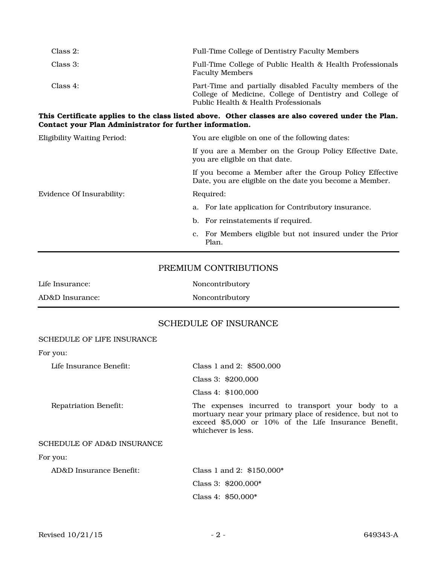| Class 2: | Full-Time College of Dentistry Faculty Members                                                                                                              |
|----------|-------------------------------------------------------------------------------------------------------------------------------------------------------------|
| Class 3: | Full-Time College of Public Health & Health Professionals<br><b>Faculty Members</b>                                                                         |
| Class 4: | Part-Time and partially disabled Faculty members of the<br>College of Medicine, College of Dentistry and College of<br>Public Health & Health Professionals |

#### This Certificate applies to the class listed above. Other classes are also covered under the Plan. Contact your Plan Administrator for further information.

| <b>Eligibility Waiting Period:</b> | You are eligible on one of the following dates:                                                                    |
|------------------------------------|--------------------------------------------------------------------------------------------------------------------|
|                                    | If you are a Member on the Group Policy Effective Date,<br>you are eligible on that date.                          |
|                                    | If you become a Member after the Group Policy Effective<br>Date, you are eligible on the date you become a Member. |
| Evidence Of Insurability:          | Required:                                                                                                          |
|                                    | a. For late application for Contributory insurance.                                                                |
|                                    | b. For reinstatements if required.                                                                                 |
|                                    | c. For Members eligible but not insured under the Prior<br>Plan.                                                   |
|                                    |                                                                                                                    |

## PREMIUM CONTRIBUTIONS

| Life Insurance: | Noncontributory |
|-----------------|-----------------|
| AD&D Insurance: | Noncontributory |

# SCHEDULE OF INSURANCE

For you:

| Life Insurance Benefit:      | Class 1 and 2: $$500,000$                                                                                                                                                                    |
|------------------------------|----------------------------------------------------------------------------------------------------------------------------------------------------------------------------------------------|
|                              | Class 3: \$200,000                                                                                                                                                                           |
|                              | Class 4: $$100.000$                                                                                                                                                                          |
| <b>Repatriation Benefit:</b> | The expenses incurred to transport your body to a<br>mortuary near your primary place of residence, but not to<br>exceed \$5,000 or 10% of the Life Insurance Benefit,<br>whichever is less. |
| SCHEDULE OF AD&D INSURANCE   |                                                                                                                                                                                              |
| For you:                     |                                                                                                                                                                                              |
| AD&D Insurance Benefit:      | Class 1 and 2: $$150,000*$                                                                                                                                                                   |
|                              | Class 3: $$200,000*$                                                                                                                                                                         |
|                              | Class 4: $$50.000*$                                                                                                                                                                          |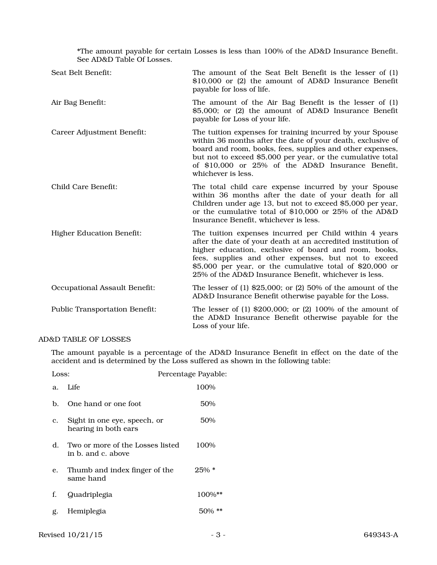\*The amount payable for certain Losses is less than 100% of the AD&D Insurance Benefit. See AD&D Table Of Losses.

| Seat Belt Benefit:                    | The amount of the Seat Belt Benefit is the lesser of (1)<br>\$10,000 or (2) the amount of AD&D Insurance Benefit<br>payable for loss of life.                                                                                                                                                                                                                  |
|---------------------------------------|----------------------------------------------------------------------------------------------------------------------------------------------------------------------------------------------------------------------------------------------------------------------------------------------------------------------------------------------------------------|
| Air Bag Benefit:                      | The amount of the Air Bag Benefit is the lesser of (1)<br>\$5,000; or (2) the amount of AD&D Insurance Benefit<br>payable for Loss of your life.                                                                                                                                                                                                               |
| Career Adjustment Benefit:            | The tuition expenses for training incurred by your Spouse<br>within 36 months after the date of your death, exclusive of<br>board and room, books, fees, supplies and other expenses,<br>but not to exceed \$5,000 per year, or the cumulative total<br>of \$10,000 or 25% of the AD&D Insurance Benefit,<br>whichever is less.                                |
| Child Care Benefit:                   | The total child care expense incurred by your Spouse<br>within 36 months after the date of your death for all<br>Children under age 13, but not to exceed \$5,000 per year,<br>or the cumulative total of \$10,000 or 25% of the AD&D<br>Insurance Benefit, whichever is less.                                                                                 |
| <b>Higher Education Benefit:</b>      | The tuition expenses incurred per Child within 4 years<br>after the date of your death at an accredited institution of<br>higher education, exclusive of board and room, books,<br>fees, supplies and other expenses, but not to exceed<br>$$5,000$ per year, or the cumulative total of $$20,000$ or<br>25% of the AD&D Insurance Benefit, whichever is less. |
| Occupational Assault Benefit:         | The lesser of $(1)$ \$25,000; or $(2)$ 50% of the amount of the<br>AD&D Insurance Benefit otherwise payable for the Loss.                                                                                                                                                                                                                                      |
| <b>Public Transportation Benefit:</b> | The lesser of $(1)$ \$200,000; or $(2)$ 100% of the amount of<br>the AD&D Insurance Benefit otherwise payable for the<br>Loss of your life.                                                                                                                                                                                                                    |

#### AD&D TABLE OF LOSSES

The amount payable is a percentage of the AD&D Insurance Benefit in effect on the date of the accident and is determined by the Loss suffered as shown in the following table:

| Loss: |                                                        | Percentage Payable: |
|-------|--------------------------------------------------------|---------------------|
| a.    | Life                                                   | 100%                |
| b.    | One hand or one foot.                                  | 50%                 |
| c.    | Sight in one eye, speech, or<br>hearing in both ears   | 50%                 |
| d.    | Two or more of the Losses listed<br>in b. and c. above | 100%                |
| e.    | Thumb and index finger of the<br>same hand             | $25\% *$            |
| f.    | Quadriplegia                                           | $100\%$ **          |
| g.    | Hemiplegia                                             | $50\%$ **           |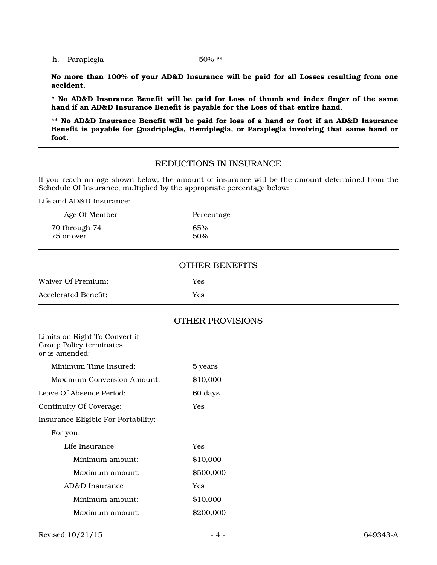h. Paraplegia 50% \*\*

No more than 100% of your AD&D Insurance will be paid for all Losses resulting from one accident.

\* No AD&D Insurance Benefit will be paid for Loss of thumb and index finger of the same hand if an AD&D Insurance Benefit is payable for the Loss of that entire hand.

\*\* No AD&D Insurance Benefit will be paid for loss of a hand or foot if an AD&D Insurance Benefit is payable for Quadriplegia, Hemiplegia, or Paraplegia involving that same hand or foot.

### REDUCTIONS IN INSURANCE

If you reach an age shown below, the amount of insurance will be the amount determined from the Schedule Of Insurance, multiplied by the appropriate percentage below:

Life and AD&D Insurance:

| Age Of Member | Percentage |
|---------------|------------|
| 70 through 74 | 65%        |
| 75 or over    | .50%       |

| Waiver Of Premium:   | <b>Yes</b> |
|----------------------|------------|
| Accelerated Benefit: | <b>Yes</b> |

OTHER BENEFITS

#### OTHER PROVISIONS

| Limits on Right To Convert if<br>Group Policy terminates<br>or is amended: |           |
|----------------------------------------------------------------------------|-----------|
| Minimum Time Insured:                                                      | 5 years   |
| Maximum Conversion Amount:                                                 | \$10,000  |
| Leave Of Absence Period:                                                   | 60 days   |
| Continuity Of Coverage:                                                    | Yes       |
| Insurance Eligible For Portability:                                        |           |
| For you:                                                                   |           |
| Life Insurance                                                             | Yes       |
| Minimum amount:                                                            | \$10,000  |
| Maximum amount:                                                            | \$500,000 |
| AD&D Insurance                                                             | Yes       |
| Minimum amount:                                                            | \$10,000  |
| Maximum amount:                                                            | \$200,000 |
|                                                                            |           |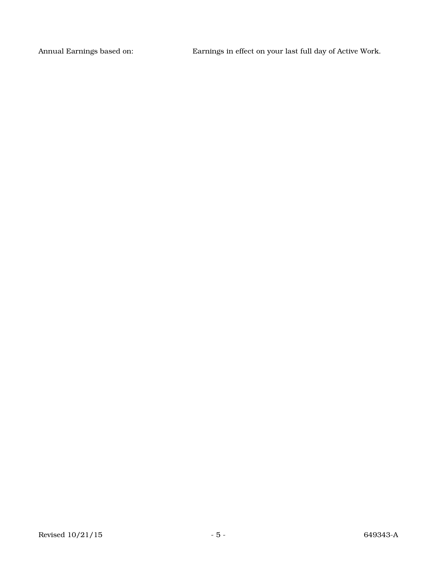Annual Earnings based on: Earnings in effect on your last full day of Active Work.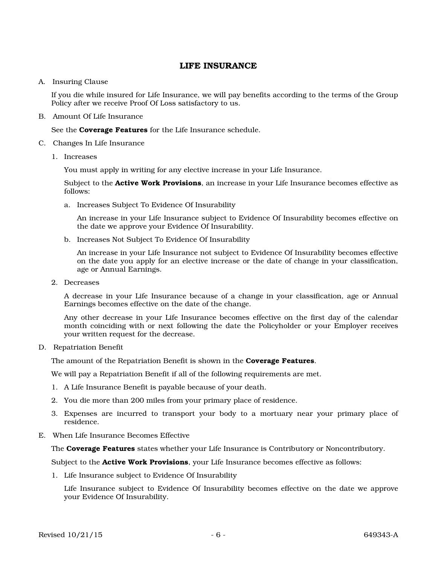# LIFE INSURANCE

#### A. Insuring Clause

If you die while insured for Life Insurance, we will pay benefits according to the terms of the Group Policy after we receive Proof Of Loss satisfactory to us.

B. Amount Of Life Insurance

See the **Coverage Features** for the Life Insurance schedule.

- C. Changes In Life Insurance
	- 1. Increases

You must apply in writing for any elective increase in your Life Insurance.

Subject to the Active Work Provisions, an increase in your Life Insurance becomes effective as follows:

a. Increases Subject To Evidence Of Insurability

An increase in your Life Insurance subject to Evidence Of Insurability becomes effective on the date we approve your Evidence Of Insurability.

b. Increases Not Subject To Evidence Of Insurability

An increase in your Life Insurance not subject to Evidence Of Insurability becomes effective on the date you apply for an elective increase or the date of change in your classification, age or Annual Earnings.

2. Decreases

A decrease in your Life Insurance because of a change in your classification, age or Annual Earnings becomes effective on the date of the change.

Any other decrease in your Life Insurance becomes effective on the first day of the calendar month coinciding with or next following the date the Policyholder or your Employer receives your written request for the decrease.

D. Repatriation Benefit

The amount of the Repatriation Benefit is shown in the Coverage Features.

We will pay a Repatriation Benefit if all of the following requirements are met.

- 1. A Life Insurance Benefit is payable because of your death.
- 2. You die more than 200 miles from your primary place of residence.
- 3. Expenses are incurred to transport your body to a mortuary near your primary place of residence.
- E. When Life Insurance Becomes Effective

The Coverage Features states whether your Life Insurance is Contributory or Noncontributory.

Subject to the **Active Work Provisions**, your Life Insurance becomes effective as follows:

1. Life Insurance subject to Evidence Of Insurability

Life Insurance subject to Evidence Of Insurability becomes effective on the date we approve your Evidence Of Insurability.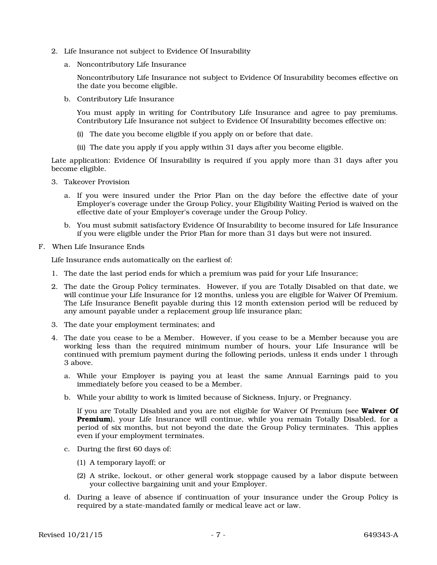- 2. Life Insurance not subject to Evidence Of Insurability
	- a. Noncontributory Life Insurance

Noncontributory Life Insurance not subject to Evidence Of Insurability becomes effective on the date you become eligible.

b. Contributory Life Insurance

You must apply in writing for Contributory Life Insurance and agree to pay premiums. Contributory Life Insurance not subject to Evidence Of Insurability becomes effective on:

- (i) The date you become eligible if you apply on or before that date.
- (ii) The date you apply if you apply within 31 days after you become eligible.

Late application: Evidence Of Insurability is required if you apply more than 31 days after you become eligible.

- 3. Takeover Provision
	- a. If you were insured under the Prior Plan on the day before the effective date of your Employer's coverage under the Group Policy, your Eligibility Waiting Period is waived on the effective date of your Employer's coverage under the Group Policy.
	- b. You must submit satisfactory Evidence Of Insurability to become insured for Life Insurance if you were eligible under the Prior Plan for more than 31 days but were not insured.
- F. When Life Insurance Ends

Life Insurance ends automatically on the earliest of:

- 1. The date the last period ends for which a premium was paid for your Life Insurance;
- 2. The date the Group Policy terminates. However, if you are Totally Disabled on that date, we will continue your Life Insurance for 12 months, unless you are eligible for Waiver Of Premium. The Life Insurance Benefit payable during this 12 month extension period will be reduced by any amount payable under a replacement group life insurance plan;
- 3. The date your employment terminates; and
- 4. The date you cease to be a Member. However, if you cease to be a Member because you are working less than the required minimum number of hours, your Life Insurance will be continued with premium payment during the following periods, unless it ends under 1 through 3 above.
	- a. While your Employer is paying you at least the same Annual Earnings paid to you immediately before you ceased to be a Member.
	- b. While your ability to work is limited because of Sickness, Injury, or Pregnancy.

If you are Totally Disabled and you are not eligible for Waiver Of Premium (see Waiver Of **Premium**), your Life Insurance will continue, while you remain Totally Disabled, for a period of six months, but not beyond the date the Group Policy terminates. This applies even if your employment terminates.

- c. During the first 60 days of:
	- (1) A temporary layoff; or
	- (2) A strike, lockout, or other general work stoppage caused by a labor dispute between your collective bargaining unit and your Employer.
- d. During a leave of absence if continuation of your insurance under the Group Policy is required by a state-mandated family or medical leave act or law.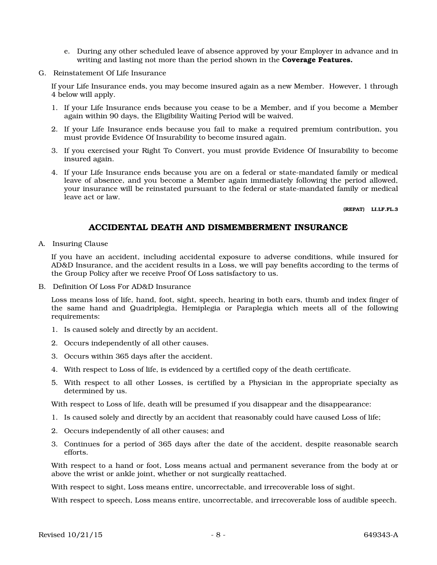- e. During any other scheduled leave of absence approved by your Employer in advance and in writing and lasting not more than the period shown in the **Coverage Features.**
- G. Reinstatement Of Life Insurance

If your Life Insurance ends, you may become insured again as a new Member. However, 1 through 4 below will apply.

- 1. If your Life Insurance ends because you cease to be a Member, and if you become a Member again within 90 days, the Eligibility Waiting Period will be waived.
- 2. If your Life Insurance ends because you fail to make a required premium contribution, you must provide Evidence Of Insurability to become insured again.
- 3. If you exercised your Right To Convert, you must provide Evidence Of Insurability to become insured again.
- 4. If your Life Insurance ends because you are on a federal or state-mandated family or medical leave of absence, and you become a Member again immediately following the period allowed, your insurance will be reinstated pursuant to the federal or state-mandated family or medical leave act or law.

(REPAT) LI.LF.FL.3

#### ACCIDENTAL DEATH AND DISMEMBERMENT INSURANCE

A. Insuring Clause

If you have an accident, including accidental exposure to adverse conditions, while insured for AD&D Insurance, and the accident results in a Loss, we will pay benefits according to the terms of the Group Policy after we receive Proof Of Loss satisfactory to us.

B. Definition Of Loss For AD&D Insurance

Loss means loss of life, hand, foot, sight, speech, hearing in both ears, thumb and index finger of the same hand and Quadriplegia, Hemiplegia or Paraplegia which meets all of the following requirements:

- 1. Is caused solely and directly by an accident.
- 2. Occurs independently of all other causes.
- 3. Occurs within 365 days after the accident.
- 4. With respect to Loss of life, is evidenced by a certified copy of the death certificate.
- 5. With respect to all other Losses, is certified by a Physician in the appropriate specialty as determined by us.

With respect to Loss of life, death will be presumed if you disappear and the disappearance:

- 1. Is caused solely and directly by an accident that reasonably could have caused Loss of life;
- 2. Occurs independently of all other causes; and
- 3. Continues for a period of 365 days after the date of the accident, despite reasonable search efforts.

With respect to a hand or foot, Loss means actual and permanent severance from the body at or above the wrist or ankle joint, whether or not surgically reattached.

With respect to sight, Loss means entire, uncorrectable, and irrecoverable loss of sight.

With respect to speech, Loss means entire, uncorrectable, and irrecoverable loss of audible speech.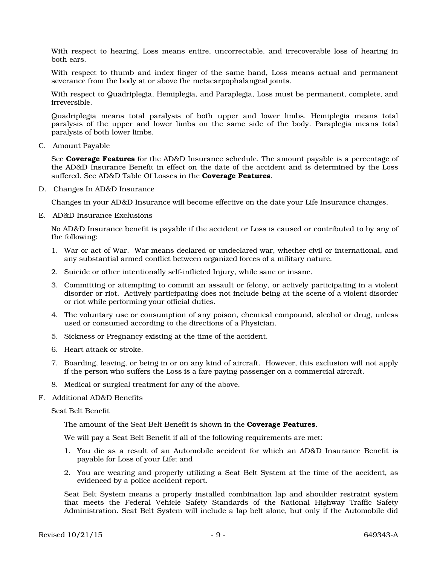With respect to hearing, Loss means entire, uncorrectable, and irrecoverable loss of hearing in both ears.

With respect to thumb and index finger of the same hand, Loss means actual and permanent severance from the body at or above the metacarpophalangeal joints.

With respect to Quadriplegia, Hemiplegia, and Paraplegia, Loss must be permanent, complete, and irreversible.

Quadriplegia means total paralysis of both upper and lower limbs. Hemiplegia means total paralysis of the upper and lower limbs on the same side of the body. Paraplegia means total paralysis of both lower limbs.

C. Amount Payable

See **Coverage Features** for the AD&D Insurance schedule. The amount payable is a percentage of the AD&D Insurance Benefit in effect on the date of the accident and is determined by the Loss suffered. See AD&D Table Of Losses in the **Coverage Features**.

D. Changes In AD&D Insurance

Changes in your AD&D Insurance will become effective on the date your Life Insurance changes.

E. AD&D Insurance Exclusions

No AD&D Insurance benefit is payable if the accident or Loss is caused or contributed to by any of the following:

- 1. War or act of War. War means declared or undeclared war, whether civil or international, and any substantial armed conflict between organized forces of a military nature.
- 2. Suicide or other intentionally self-inflicted Injury, while sane or insane.
- 3. Committing or attempting to commit an assault or felony, or actively participating in a violent disorder or riot. Actively participating does not include being at the scene of a violent disorder or riot while performing your official duties.
- 4. The voluntary use or consumption of any poison, chemical compound, alcohol or drug, unless used or consumed according to the directions of a Physician.
- 5. Sickness or Pregnancy existing at the time of the accident.
- 6. Heart attack or stroke.
- 7. Boarding, leaving, or being in or on any kind of aircraft. However, this exclusion will not apply if the person who suffers the Loss is a fare paying passenger on a commercial aircraft.
- 8. Medical or surgical treatment for any of the above.
- F. Additional AD&D Benefits

Seat Belt Benefit

The amount of the Seat Belt Benefit is shown in the **Coverage Features**.

We will pay a Seat Belt Benefit if all of the following requirements are met:

- 1. You die as a result of an Automobile accident for which an AD&D Insurance Benefit is payable for Loss of your Life; and
- 2. You are wearing and properly utilizing a Seat Belt System at the time of the accident, as evidenced by a police accident report.

Seat Belt System means a properly installed combination lap and shoulder restraint system that meets the Federal Vehicle Safety Standards of the National Highway Traffic Safety Administration. Seat Belt System will include a lap belt alone, but only if the Automobile did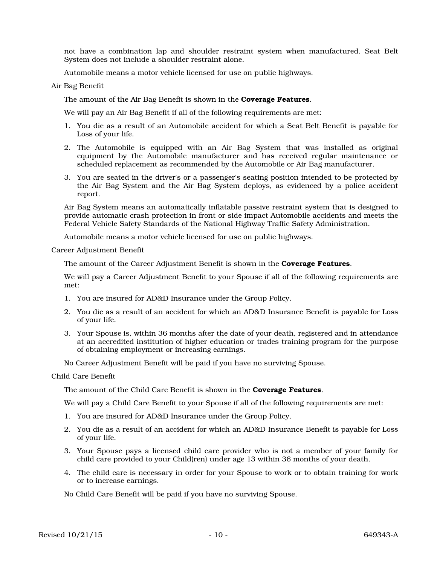not have a combination lap and shoulder restraint system when manufactured. Seat Belt System does not include a shoulder restraint alone.

Automobile means a motor vehicle licensed for use on public highways.

Air Bag Benefit

The amount of the Air Bag Benefit is shown in the **Coverage Features**.

We will pay an Air Bag Benefit if all of the following requirements are met:

- 1. You die as a result of an Automobile accident for which a Seat Belt Benefit is payable for Loss of your life.
- 2. The Automobile is equipped with an Air Bag System that was installed as original equipment by the Automobile manufacturer and has received regular maintenance or scheduled replacement as recommended by the Automobile or Air Bag manufacturer.
- 3. You are seated in the driver's or a passenger's seating position intended to be protected by the Air Bag System and the Air Bag System deploys, as evidenced by a police accident report.

Air Bag System means an automatically inflatable passive restraint system that is designed to provide automatic crash protection in front or side impact Automobile accidents and meets the Federal Vehicle Safety Standards of the National Highway Traffic Safety Administration.

Automobile means a motor vehicle licensed for use on public highways.

Career Adjustment Benefit

The amount of the Career Adjustment Benefit is shown in the **Coverage Features**.

We will pay a Career Adjustment Benefit to your Spouse if all of the following requirements are met:

- 1. You are insured for AD&D Insurance under the Group Policy.
- 2. You die as a result of an accident for which an AD&D Insurance Benefit is payable for Loss of your life.
- 3. Your Spouse is, within 36 months after the date of your death, registered and in attendance at an accredited institution of higher education or trades training program for the purpose of obtaining employment or increasing earnings.

No Career Adjustment Benefit will be paid if you have no surviving Spouse.

Child Care Benefit

The amount of the Child Care Benefit is shown in the **Coverage Features**.

We will pay a Child Care Benefit to your Spouse if all of the following requirements are met:

- 1. You are insured for AD&D Insurance under the Group Policy.
- 2. You die as a result of an accident for which an AD&D Insurance Benefit is payable for Loss of your life.
- 3. Your Spouse pays a licensed child care provider who is not a member of your family for child care provided to your Child(ren) under age 13 within 36 months of your death.
- 4. The child care is necessary in order for your Spouse to work or to obtain training for work or to increase earnings.

No Child Care Benefit will be paid if you have no surviving Spouse.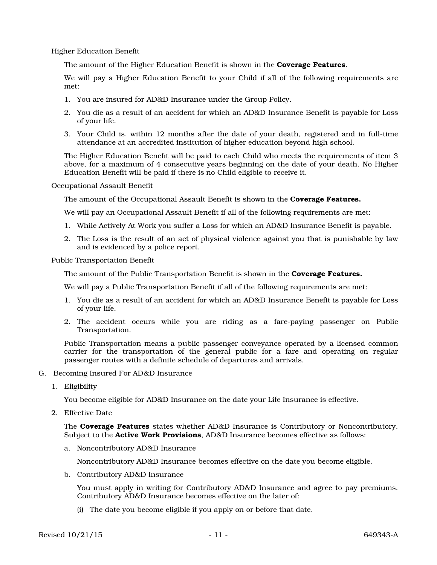Higher Education Benefit

The amount of the Higher Education Benefit is shown in the **Coverage Features**.

We will pay a Higher Education Benefit to your Child if all of the following requirements are met:

- 1. You are insured for AD&D Insurance under the Group Policy.
- 2. You die as a result of an accident for which an AD&D Insurance Benefit is payable for Loss of your life.
- 3. Your Child is, within 12 months after the date of your death, registered and in full-time attendance at an accredited institution of higher education beyond high school.

The Higher Education Benefit will be paid to each Child who meets the requirements of item 3 above, for a maximum of 4 consecutive years beginning on the date of your death. No Higher Education Benefit will be paid if there is no Child eligible to receive it.

Occupational Assault Benefit

The amount of the Occupational Assault Benefit is shown in the **Coverage Features.** 

We will pay an Occupational Assault Benefit if all of the following requirements are met:

- 1. While Actively At Work you suffer a Loss for which an AD&D Insurance Benefit is payable.
- 2. The Loss is the result of an act of physical violence against you that is punishable by law and is evidenced by a police report.

Public Transportation Benefit

The amount of the Public Transportation Benefit is shown in the **Coverage Features.** 

We will pay a Public Transportation Benefit if all of the following requirements are met:

- 1. You die as a result of an accident for which an AD&D Insurance Benefit is payable for Loss of your life.
- 2. The accident occurs while you are riding as a fare-paying passenger on Public Transportation.

Public Transportation means a public passenger conveyance operated by a licensed common carrier for the transportation of the general public for a fare and operating on regular passenger routes with a definite schedule of departures and arrivals.

- G. Becoming Insured For AD&D Insurance
	- 1. Eligibility

You become eligible for AD&D Insurance on the date your Life Insurance is effective.

2. Effective Date

The **Coverage Features** states whether AD&D Insurance is Contributory or Noncontributory. Subject to the **Active Work Provisions**, AD&D Insurance becomes effective as follows:

a. Noncontributory AD&D Insurance

Noncontributory AD&D Insurance becomes effective on the date you become eligible.

b. Contributory AD&D Insurance

You must apply in writing for Contributory AD&D Insurance and agree to pay premiums. Contributory AD&D Insurance becomes effective on the later of:

(i) The date you become eligible if you apply on or before that date.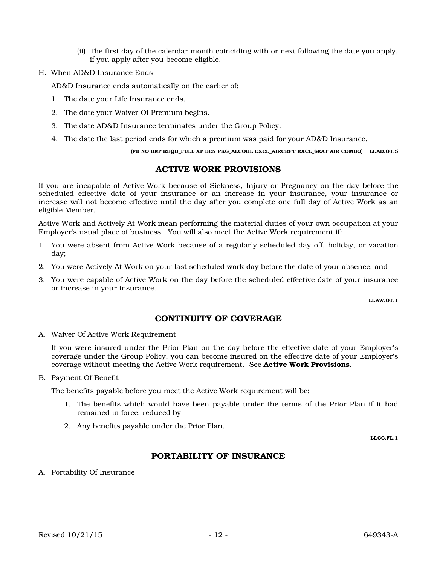- (ii) The first day of the calendar month coinciding with or next following the date you apply, if you apply after you become eligible.
- H. When AD&D Insurance Ends

AD&D Insurance ends automatically on the earlier of:

- 1. The date your Life Insurance ends.
- 2. The date your Waiver Of Premium begins.
- 3. The date AD&D Insurance terminates under the Group Policy.
- 4. The date the last period ends for which a premium was paid for your AD&D Insurance.

(FB NO DEP REQD\_FULL XP BEN PKG\_ALCOHL EXCL\_AIRCRFT EXCL\_SEAT AIR COMBO) LI.AD.OT.5

# ACTIVE WORK PROVISIONS

If you are incapable of Active Work because of Sickness, Injury or Pregnancy on the day before the scheduled effective date of your insurance or an increase in your insurance, your insurance or increase will not become effective until the day after you complete one full day of Active Work as an eligible Member.

Active Work and Actively At Work mean performing the material duties of your own occupation at your Employer's usual place of business. You will also meet the Active Work requirement if:

- 1. You were absent from Active Work because of a regularly scheduled day off, holiday, or vacation day;
- 2. You were Actively At Work on your last scheduled work day before the date of your absence; and
- 3. You were capable of Active Work on the day before the scheduled effective date of your insurance or increase in your insurance.

LI.AW.OT.1

# CONTINUITY OF COVERAGE

A. Waiver Of Active Work Requirement

If you were insured under the Prior Plan on the day before the effective date of your Employer's coverage under the Group Policy, you can become insured on the effective date of your Employer's coverage without meeting the Active Work requirement. See Active Work Provisions.

B. Payment Of Benefit

The benefits payable before you meet the Active Work requirement will be:

- 1. The benefits which would have been payable under the terms of the Prior Plan if it had remained in force; reduced by
- 2. Any benefits payable under the Prior Plan.

LI.CC.FL.1

# PORTABILITY OF INSURANCE

A. Portability Of Insurance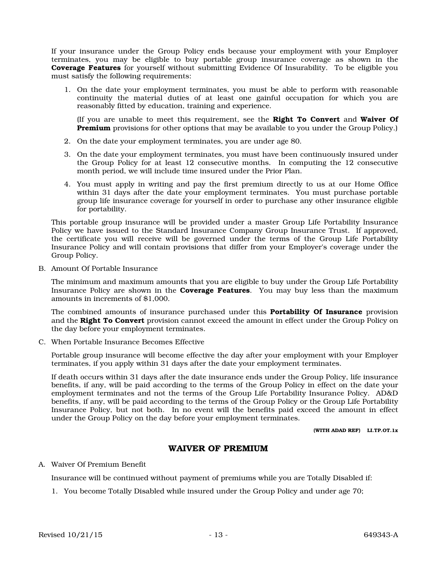If your insurance under the Group Policy ends because your employment with your Employer terminates, you may be eligible to buy portable group insurance coverage as shown in the **Coverage Features** for yourself without submitting Evidence Of Insurability. To be eligible you must satisfy the following requirements:

1. On the date your employment terminates, you must be able to perform with reasonable continuity the material duties of at least one gainful occupation for which you are reasonably fitted by education, training and experience.

(If you are unable to meet this requirement, see the Right To Convert and Waiver Of **Premium** provisions for other options that may be available to you under the Group Policy.)

- 2. On the date your employment terminates, you are under age 80.
- 3. On the date your employment terminates, you must have been continuously insured under the Group Policy for at least 12 consecutive months. In computing the 12 consecutive month period, we will include time insured under the Prior Plan.
- 4. You must apply in writing and pay the first premium directly to us at our Home Office within 31 days after the date your employment terminates. You must purchase portable group life insurance coverage for yourself in order to purchase any other insurance eligible for portability.

This portable group insurance will be provided under a master Group Life Portability Insurance Policy we have issued to the Standard Insurance Company Group Insurance Trust. If approved, the certificate you will receive will be governed under the terms of the Group Life Portability Insurance Policy and will contain provisions that differ from your Employer's coverage under the Group Policy.

B. Amount Of Portable Insurance

The minimum and maximum amounts that you are eligible to buy under the Group Life Portability Insurance Policy are shown in the **Coverage Features**. You may buy less than the maximum amounts in increments of \$1,000.

The combined amounts of insurance purchased under this **Portability Of Insurance** provision and the Right To Convert provision cannot exceed the amount in effect under the Group Policy on the day before your employment terminates.

C. When Portable Insurance Becomes Effective

Portable group insurance will become effective the day after your employment with your Employer terminates, if you apply within 31 days after the date your employment terminates.

If death occurs within 31 days after the date insurance ends under the Group Policy, life insurance benefits, if any, will be paid according to the terms of the Group Policy in effect on the date your employment terminates and not the terms of the Group Life Portability Insurance Policy. AD&D benefits, if any, will be paid according to the terms of the Group Policy or the Group Life Portability Insurance Policy, but not both. In no event will the benefits paid exceed the amount in effect under the Group Policy on the day before your employment terminates.

(WITH ADAD REF) LI.TP.OT.1x

### WAIVER OF PREMIUM

A. Waiver Of Premium Benefit

Insurance will be continued without payment of premiums while you are Totally Disabled if:

1. You become Totally Disabled while insured under the Group Policy and under age 70;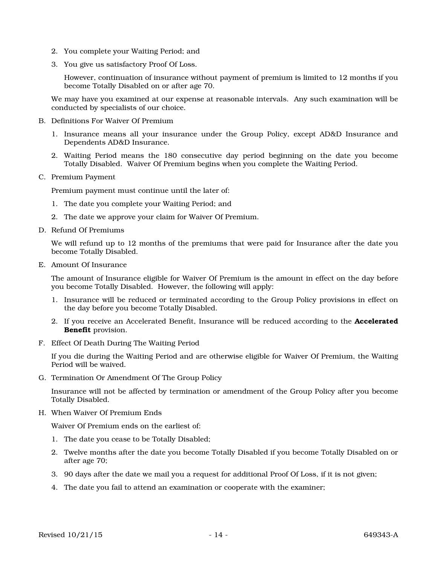- 2. You complete your Waiting Period; and
- 3. You give us satisfactory Proof Of Loss.

However, continuation of insurance without payment of premium is limited to 12 months if you become Totally Disabled on or after age 70.

We may have you examined at our expense at reasonable intervals. Any such examination will be conducted by specialists of our choice.

- B. Definitions For Waiver Of Premium
	- 1. Insurance means all your insurance under the Group Policy, except AD&D Insurance and Dependents AD&D Insurance.
	- 2. Waiting Period means the 180 consecutive day period beginning on the date you become Totally Disabled. Waiver Of Premium begins when you complete the Waiting Period.
- C. Premium Payment

Premium payment must continue until the later of:

- 1. The date you complete your Waiting Period; and
- 2. The date we approve your claim for Waiver Of Premium.
- D. Refund Of Premiums

We will refund up to 12 months of the premiums that were paid for Insurance after the date you become Totally Disabled.

E. Amount Of Insurance

The amount of Insurance eligible for Waiver Of Premium is the amount in effect on the day before you become Totally Disabled. However, the following will apply:

- 1. Insurance will be reduced or terminated according to the Group Policy provisions in effect on the day before you become Totally Disabled.
- 2. If you receive an Accelerated Benefit, Insurance will be reduced according to the Accelerated Benefit provision.
- F. Effect Of Death During The Waiting Period

If you die during the Waiting Period and are otherwise eligible for Waiver Of Premium, the Waiting Period will be waived.

G. Termination Or Amendment Of The Group Policy

Insurance will not be affected by termination or amendment of the Group Policy after you become Totally Disabled.

H. When Waiver Of Premium Ends

Waiver Of Premium ends on the earliest of:

- 1. The date you cease to be Totally Disabled;
- 2. Twelve months after the date you become Totally Disabled if you become Totally Disabled on or after age 70;
- 3. 90 days after the date we mail you a request for additional Proof Of Loss, if it is not given;
- 4. The date you fail to attend an examination or cooperate with the examiner;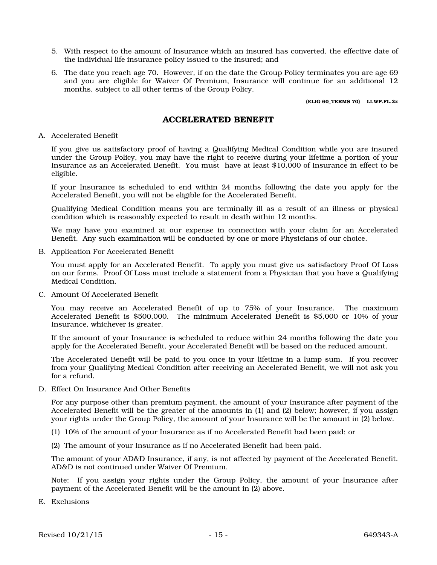- 5. With respect to the amount of Insurance which an insured has converted, the effective date of the individual life insurance policy issued to the insured; and
- 6. The date you reach age 70. However, if on the date the Group Policy terminates you are age 69 and you are eligible for Waiver Of Premium, Insurance will continue for an additional 12 months, subject to all other terms of the Group Policy.

(ELIG 60\_TERMS 70) LI.WP.FL.2x

#### ACCELERATED BENEFIT

A. Accelerated Benefit

If you give us satisfactory proof of having a Qualifying Medical Condition while you are insured under the Group Policy, you may have the right to receive during your lifetime a portion of your Insurance as an Accelerated Benefit. You must have at least \$10,000 of Insurance in effect to be eligible.

If your Insurance is scheduled to end within 24 months following the date you apply for the Accelerated Benefit, you will not be eligible for the Accelerated Benefit.

Qualifying Medical Condition means you are terminally ill as a result of an illness or physical condition which is reasonably expected to result in death within 12 months.

We may have you examined at our expense in connection with your claim for an Accelerated Benefit. Any such examination will be conducted by one or more Physicians of our choice.

B. Application For Accelerated Benefit

You must apply for an Accelerated Benefit. To apply you must give us satisfactory Proof Of Loss on our forms. Proof Of Loss must include a statement from a Physician that you have a Qualifying Medical Condition.

C. Amount Of Accelerated Benefit

You may receive an Accelerated Benefit of up to 75% of your Insurance. The maximum Accelerated Benefit is \$500,000. The minimum Accelerated Benefit is \$5,000 or 10% of your Insurance, whichever is greater.

If the amount of your Insurance is scheduled to reduce within 24 months following the date you apply for the Accelerated Benefit, your Accelerated Benefit will be based on the reduced amount.

The Accelerated Benefit will be paid to you once in your lifetime in a lump sum. If you recover from your Qualifying Medical Condition after receiving an Accelerated Benefit, we will not ask you for a refund.

D. Effect On Insurance And Other Benefits

For any purpose other than premium payment, the amount of your Insurance after payment of the Accelerated Benefit will be the greater of the amounts in (1) and (2) below; however, if you assign your rights under the Group Policy, the amount of your Insurance will be the amount in (2) below.

- (1) 10% of the amount of your Insurance as if no Accelerated Benefit had been paid; or
- (2) The amount of your Insurance as if no Accelerated Benefit had been paid.

The amount of your AD&D Insurance, if any, is not affected by payment of the Accelerated Benefit. AD&D is not continued under Waiver Of Premium.

Note: If you assign your rights under the Group Policy, the amount of your Insurance after payment of the Accelerated Benefit will be the amount in (2) above.

E. Exclusions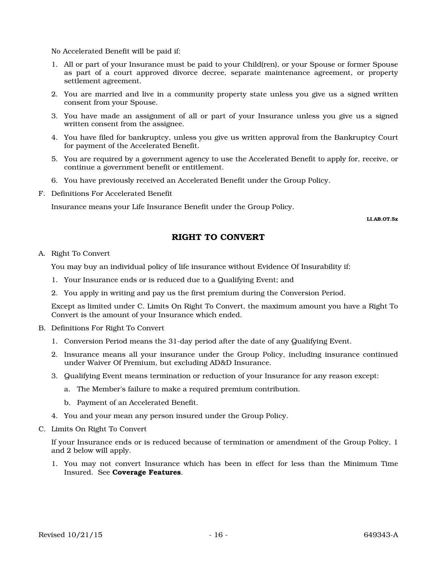No Accelerated Benefit will be paid if:

- 1. All or part of your Insurance must be paid to your Child(ren), or your Spouse or former Spouse as part of a court approved divorce decree, separate maintenance agreement, or property settlement agreement.
- 2. You are married and live in a community property state unless you give us a signed written consent from your Spouse.
- 3. You have made an assignment of all or part of your Insurance unless you give us a signed written consent from the assignee.
- 4. You have filed for bankruptcy, unless you give us written approval from the Bankruptcy Court for payment of the Accelerated Benefit.
- 5. You are required by a government agency to use the Accelerated Benefit to apply for, receive, or continue a government benefit or entitlement.
- 6. You have previously received an Accelerated Benefit under the Group Policy.
- F. Definitions For Accelerated Benefit

Insurance means your Life Insurance Benefit under the Group Policy.

LI.AB.OT.5x

# RIGHT TO CONVERT

A. Right To Convert

You may buy an individual policy of life insurance without Evidence Of Insurability if:

- 1. Your Insurance ends or is reduced due to a Qualifying Event; and
- 2. You apply in writing and pay us the first premium during the Conversion Period.

Except as limited under C. Limits On Right To Convert, the maximum amount you have a Right To Convert is the amount of your Insurance which ended.

- B. Definitions For Right To Convert
	- 1. Conversion Period means the 31-day period after the date of any Qualifying Event.
	- 2. Insurance means all your insurance under the Group Policy, including insurance continued under Waiver Of Premium, but excluding AD&D Insurance.
	- 3. Qualifying Event means termination or reduction of your Insurance for any reason except:
		- a. The Member's failure to make a required premium contribution.
		- b. Payment of an Accelerated Benefit.
	- 4. You and your mean any person insured under the Group Policy.
- C. Limits On Right To Convert

If your Insurance ends or is reduced because of termination or amendment of the Group Policy, 1 and 2 below will apply.

1. You may not convert Insurance which has been in effect for less than the Minimum Time Insured. See Coverage Features.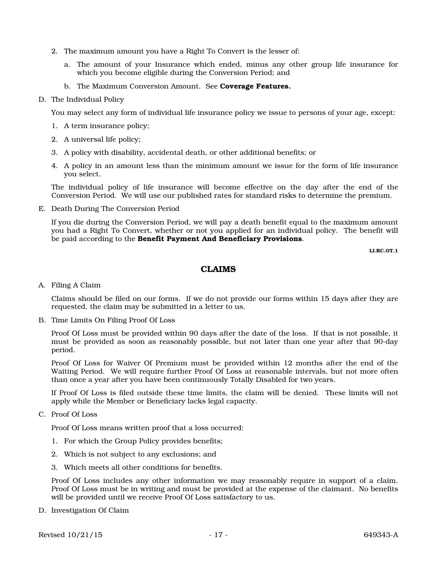- 2. The maximum amount you have a Right To Convert is the lesser of:
	- a. The amount of your Insurance which ended, minus any other group life insurance for which you become eligible during the Conversion Period; and
	- b. The Maximum Conversion Amount. See Coverage Features.
- D. The Individual Policy

You may select any form of individual life insurance policy we issue to persons of your age, except:

- 1. A term insurance policy;
- 2. A universal life policy;
- 3. A policy with disability, accidental death, or other additional benefits; or
- 4. A policy in an amount less than the minimum amount we issue for the form of life insurance you select.

The individual policy of life insurance will become effective on the day after the end of the Conversion Period. We will use our published rates for standard risks to determine the premium.

E. Death During The Conversion Period

If you die during the Conversion Period, we will pay a death benefit equal to the maximum amount you had a Right To Convert, whether or not you applied for an individual policy. The benefit will be paid according to the Benefit Payment And Beneficiary Provisions.

LI.RC.OT.1

# CLAIMS

A. Filing A Claim

Claims should be filed on our forms. If we do not provide our forms within 15 days after they are requested, the claim may be submitted in a letter to us.

B. Time Limits On Filing Proof Of Loss

Proof Of Loss must be provided within 90 days after the date of the loss. If that is not possible, it must be provided as soon as reasonably possible, but not later than one year after that 90-day period.

Proof Of Loss for Waiver Of Premium must be provided within 12 months after the end of the Waiting Period. We will require further Proof Of Loss at reasonable intervals, but not more often than once a year after you have been continuously Totally Disabled for two years.

If Proof Of Loss is filed outside these time limits, the claim will be denied. These limits will not apply while the Member or Beneficiary lacks legal capacity.

C. Proof Of Loss

Proof Of Loss means written proof that a loss occurred:

- 1. For which the Group Policy provides benefits;
- 2. Which is not subject to any exclusions; and
- 3. Which meets all other conditions for benefits.

Proof Of Loss includes any other information we may reasonably require in support of a claim. Proof Of Loss must be in writing and must be provided at the expense of the claimant. No benefits will be provided until we receive Proof Of Loss satisfactory to us.

D. Investigation Of Claim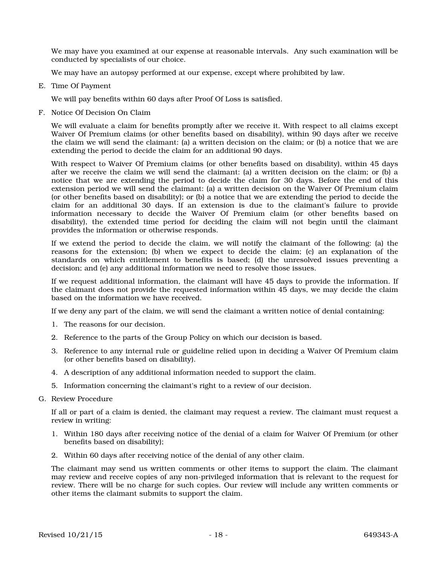We may have you examined at our expense at reasonable intervals. Any such examination will be conducted by specialists of our choice.

We may have an autopsy performed at our expense, except where prohibited by law.

E. Time Of Payment

We will pay benefits within 60 days after Proof Of Loss is satisfied.

F. Notice Of Decision On Claim

We will evaluate a claim for benefits promptly after we receive it. With respect to all claims except Waiver Of Premium claims (or other benefits based on disability), within 90 days after we receive the claim we will send the claimant: (a) a written decision on the claim; or (b) a notice that we are extending the period to decide the claim for an additional 90 days.

With respect to Waiver Of Premium claims (or other benefits based on disability), within 45 days after we receive the claim we will send the claimant: (a) a written decision on the claim; or (b) a notice that we are extending the period to decide the claim for 30 days. Before the end of this extension period we will send the claimant: (a) a written decision on the Waiver Of Premium claim (or other benefits based on disability); or (b) a notice that we are extending the period to decide the claim for an additional 30 days. If an extension is due to the claimant's failure to provide information necessary to decide the Waiver Of Premium claim (or other benefits based on disability), the extended time period for deciding the claim will not begin until the claimant provides the information or otherwise responds.

If we extend the period to decide the claim, we will notify the claimant of the following: (a) the reasons for the extension; (b) when we expect to decide the claim; (c) an explanation of the standards on which entitlement to benefits is based; (d) the unresolved issues preventing a decision; and (e) any additional information we need to resolve those issues.

If we request additional information, the claimant will have 45 days to provide the information. If the claimant does not provide the requested information within 45 days, we may decide the claim based on the information we have received.

If we deny any part of the claim, we will send the claimant a written notice of denial containing:

- 1. The reasons for our decision.
- 2. Reference to the parts of the Group Policy on which our decision is based.
- 3. Reference to any internal rule or guideline relied upon in deciding a Waiver Of Premium claim (or other benefits based on disability).
- 4. A description of any additional information needed to support the claim.
- 5. Information concerning the claimant's right to a review of our decision.
- G. Review Procedure

If all or part of a claim is denied, the claimant may request a review. The claimant must request a review in writing:

- 1. Within 180 days after receiving notice of the denial of a claim for Waiver Of Premium (or other benefits based on disability);
- 2. Within 60 days after receiving notice of the denial of any other claim.

The claimant may send us written comments or other items to support the claim. The claimant may review and receive copies of any non-privileged information that is relevant to the request for review. There will be no charge for such copies. Our review will include any written comments or other items the claimant submits to support the claim.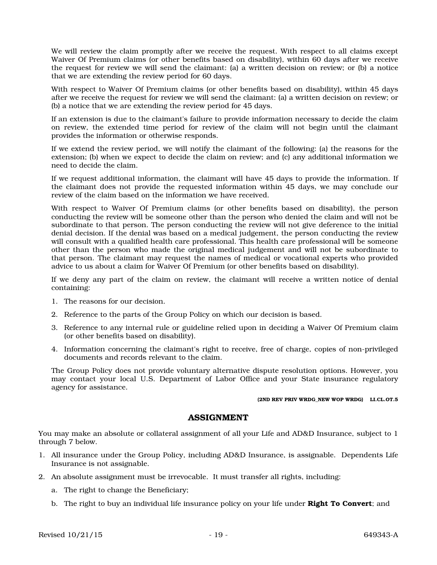We will review the claim promptly after we receive the request. With respect to all claims except Waiver Of Premium claims (or other benefits based on disability), within 60 days after we receive the request for review we will send the claimant: (a) a written decision on review; or (b) a notice that we are extending the review period for 60 days.

With respect to Waiver Of Premium claims (or other benefits based on disability), within 45 days after we receive the request for review we will send the claimant: (a) a written decision on review; or (b) a notice that we are extending the review period for 45 days.

If an extension is due to the claimant's failure to provide information necessary to decide the claim on review, the extended time period for review of the claim will not begin until the claimant provides the information or otherwise responds.

If we extend the review period, we will notify the claimant of the following: (a) the reasons for the extension; (b) when we expect to decide the claim on review; and (c) any additional information we need to decide the claim.

If we request additional information, the claimant will have 45 days to provide the information. If the claimant does not provide the requested information within 45 days, we may conclude our review of the claim based on the information we have received.

With respect to Waiver Of Premium claims (or other benefits based on disability), the person conducting the review will be someone other than the person who denied the claim and will not be subordinate to that person. The person conducting the review will not give deference to the initial denial decision. If the denial was based on a medical judgement, the person conducting the review will consult with a qualified health care professional. This health care professional will be someone other than the person who made the original medical judgement and will not be subordinate to that person. The claimant may request the names of medical or vocational experts who provided advice to us about a claim for Waiver Of Premium (or other benefits based on disability).

If we deny any part of the claim on review, the claimant will receive a written notice of denial containing:

- 1. The reasons for our decision.
- 2. Reference to the parts of the Group Policy on which our decision is based.
- 3. Reference to any internal rule or guideline relied upon in deciding a Waiver Of Premium claim (or other benefits based on disability).
- 4. Information concerning the claimant's right to receive, free of charge, copies of non-privileged documents and records relevant to the claim.

The Group Policy does not provide voluntary alternative dispute resolution options. However, you may contact your local U.S. Department of Labor Office and your State insurance regulatory agency for assistance.

#### (2ND REV PRIV WRDG\_NEW WOP WRDG) LI.CL.OT.5

# ASSIGNMENT

You may make an absolute or collateral assignment of all your Life and AD&D Insurance, subject to 1 through 7 below.

- 1. All insurance under the Group Policy, including AD&D Insurance, is assignable. Dependents Life Insurance is not assignable.
- 2. An absolute assignment must be irrevocable. It must transfer all rights, including:
	- a. The right to change the Beneficiary;
	- b. The right to buy an individual life insurance policy on your life under **Right To Convert**; and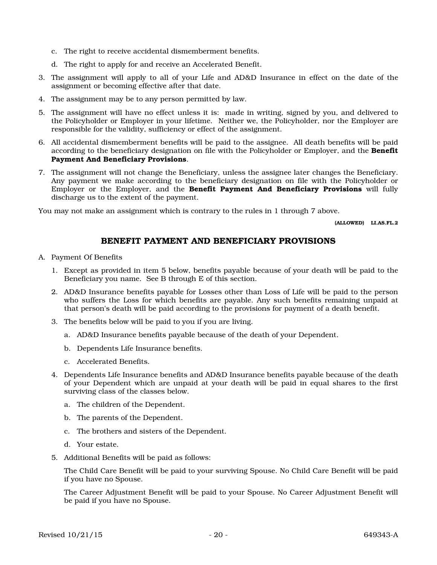- c. The right to receive accidental dismemberment benefits.
- d. The right to apply for and receive an Accelerated Benefit.
- 3. The assignment will apply to all of your Life and AD&D Insurance in effect on the date of the assignment or becoming effective after that date.
- 4. The assignment may be to any person permitted by law.
- 5. The assignment will have no effect unless it is: made in writing, signed by you, and delivered to the Policyholder or Employer in your lifetime. Neither we, the Policyholder, nor the Employer are responsible for the validity, sufficiency or effect of the assignment.
- 6. All accidental dismemberment benefits will be paid to the assignee. All death benefits will be paid according to the beneficiary designation on file with the Policyholder or Employer, and the **Benefit** Payment And Beneficiary Provisions.
- 7. The assignment will not change the Beneficiary, unless the assignee later changes the Beneficiary. Any payment we make according to the beneficiary designation on file with the Policyholder or Employer or the Employer, and the Benefit Payment And Beneficiary Provisions will fully discharge us to the extent of the payment.

You may not make an assignment which is contrary to the rules in 1 through 7 above.

(ALLOWED) LI.AS.FL.2

# BENEFIT PAYMENT AND BENEFICIARY PROVISIONS

- A. Payment Of Benefits
	- 1. Except as provided in item 5 below, benefits payable because of your death will be paid to the Beneficiary you name. See B through E of this section.
	- 2. AD&D Insurance benefits payable for Losses other than Loss of Life will be paid to the person who suffers the Loss for which benefits are payable. Any such benefits remaining unpaid at that person's death will be paid according to the provisions for payment of a death benefit.
	- 3. The benefits below will be paid to you if you are living.
		- a. AD&D Insurance benefits payable because of the death of your Dependent.
		- b. Dependents Life Insurance benefits.
		- c. Accelerated Benefits.
	- 4. Dependents Life Insurance benefits and AD&D Insurance benefits payable because of the death of your Dependent which are unpaid at your death will be paid in equal shares to the first surviving class of the classes below.
		- a. The children of the Dependent.
		- b. The parents of the Dependent.
		- c. The brothers and sisters of the Dependent.
		- d. Your estate.
	- 5. Additional Benefits will be paid as follows:

The Child Care Benefit will be paid to your surviving Spouse. No Child Care Benefit will be paid if you have no Spouse.

The Career Adjustment Benefit will be paid to your Spouse. No Career Adjustment Benefit will be paid if you have no Spouse.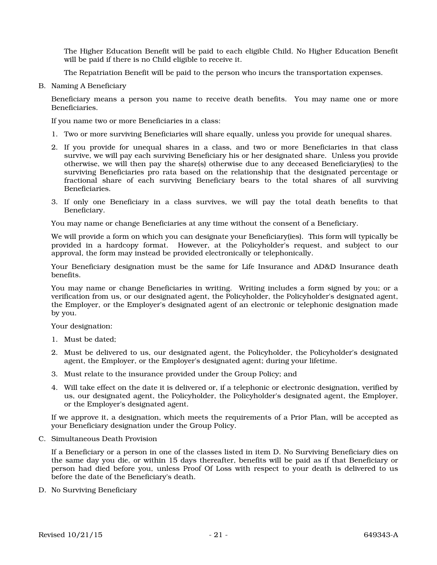The Higher Education Benefit will be paid to each eligible Child. No Higher Education Benefit will be paid if there is no Child eligible to receive it.

The Repatriation Benefit will be paid to the person who incurs the transportation expenses.

B. Naming A Beneficiary

Beneficiary means a person you name to receive death benefits. You may name one or more Beneficiaries.

If you name two or more Beneficiaries in a class:

- 1. Two or more surviving Beneficiaries will share equally, unless you provide for unequal shares.
- 2. If you provide for unequal shares in a class, and two or more Beneficiaries in that class survive, we will pay each surviving Beneficiary his or her designated share. Unless you provide otherwise, we will then pay the share(s) otherwise due to any deceased Beneficiary(ies) to the surviving Beneficiaries pro rata based on the relationship that the designated percentage or fractional share of each surviving Beneficiary bears to the total shares of all surviving Beneficiaries.
- 3. If only one Beneficiary in a class survives, we will pay the total death benefits to that Beneficiary.

You may name or change Beneficiaries at any time without the consent of a Beneficiary.

We will provide a form on which you can designate your Beneficiary(ies). This form will typically be provided in a hardcopy format. However, at the Policyholder's request, and subject to our approval, the form may instead be provided electronically or telephonically.

Your Beneficiary designation must be the same for Life Insurance and AD&D Insurance death benefits.

You may name or change Beneficiaries in writing. Writing includes a form signed by you; or a verification from us, or our designated agent, the Policyholder, the Policyholder's designated agent, the Employer, or the Employer's designated agent of an electronic or telephonic designation made by you.

Your designation:

- 1. Must be dated;
- 2. Must be delivered to us, our designated agent, the Policyholder, the Policyholder's designated agent, the Employer, or the Employer's designated agent; during your lifetime.
- 3. Must relate to the insurance provided under the Group Policy; and
- 4. Will take effect on the date it is delivered or, if a telephonic or electronic designation, verified by us, our designated agent, the Policyholder, the Policyholder's designated agent, the Employer, or the Employer's designated agent.

If we approve it, a designation, which meets the requirements of a Prior Plan, will be accepted as your Beneficiary designation under the Group Policy.

C. Simultaneous Death Provision

If a Beneficiary or a person in one of the classes listed in item D. No Surviving Beneficiary dies on the same day you die, or within 15 days thereafter, benefits will be paid as if that Beneficiary or person had died before you, unless Proof Of Loss with respect to your death is delivered to us before the date of the Beneficiary's death.

D. No Surviving Beneficiary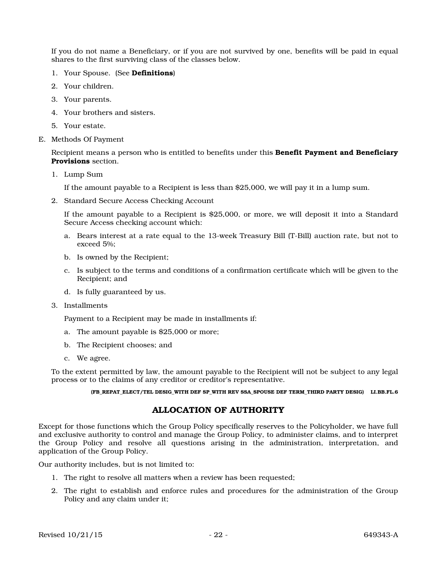If you do not name a Beneficiary, or if you are not survived by one, benefits will be paid in equal shares to the first surviving class of the classes below.

- 1. Your Spouse. (See Definitions)
- 2. Your children.
- 3. Your parents.
- 4. Your brothers and sisters.
- 5. Your estate.
- E. Methods Of Payment

Recipient means a person who is entitled to benefits under this **Benefit Payment and Beneficiary** Provisions section.

1. Lump Sum

If the amount payable to a Recipient is less than \$25,000, we will pay it in a lump sum.

2. Standard Secure Access Checking Account

If the amount payable to a Recipient is \$25,000, or more, we will deposit it into a Standard Secure Access checking account which:

- a. Bears interest at a rate equal to the 13-week Treasury Bill (T-Bill) auction rate, but not to exceed 5%;
- b. Is owned by the Recipient;
- c. Is subject to the terms and conditions of a confirmation certificate which will be given to the Recipient; and
- d. Is fully guaranteed by us.
- 3. Installments

Payment to a Recipient may be made in installments if:

- a. The amount payable is \$25,000 or more;
- b. The Recipient chooses; and
- c. We agree.

To the extent permitted by law, the amount payable to the Recipient will not be subject to any legal process or to the claims of any creditor or creditor's representative.

(FB\_REPAT\_ELECT/TEL DESIG\_WITH DEF SP\_WITH REV SSA\_SPOUSE DEF TERM\_THIRD PARTY DESIG) LI.BB.FL.6

# ALLOCATION OF AUTHORITY

Except for those functions which the Group Policy specifically reserves to the Policyholder, we have full and exclusive authority to control and manage the Group Policy, to administer claims, and to interpret the Group Policy and resolve all questions arising in the administration, interpretation, and application of the Group Policy.

Our authority includes, but is not limited to:

- 1. The right to resolve all matters when a review has been requested;
- 2. The right to establish and enforce rules and procedures for the administration of the Group Policy and any claim under it;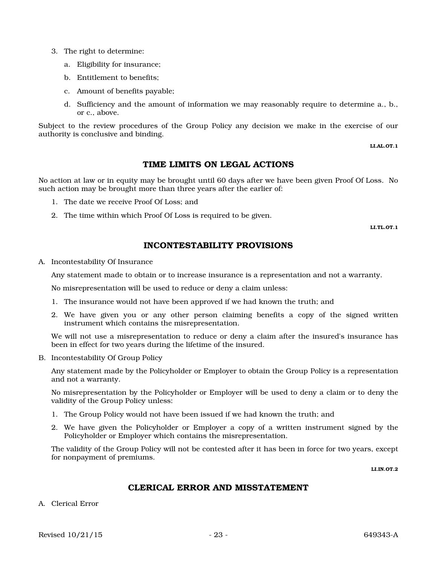- 3. The right to determine:
	- a. Eligibility for insurance;
	- b. Entitlement to benefits;
	- c. Amount of benefits payable;
	- d. Sufficiency and the amount of information we may reasonably require to determine a., b., or c., above.

Subject to the review procedures of the Group Policy any decision we make in the exercise of our authority is conclusive and binding.

LI.AL.OT.1

# TIME LIMITS ON LEGAL ACTIONS

No action at law or in equity may be brought until 60 days after we have been given Proof Of Loss. No such action may be brought more than three years after the earlier of:

- 1. The date we receive Proof Of Loss; and
- 2. The time within which Proof Of Loss is required to be given.

LI.TL.OT.1

# INCONTESTABILITY PROVISIONS

A. Incontestability Of Insurance

Any statement made to obtain or to increase insurance is a representation and not a warranty.

No misrepresentation will be used to reduce or deny a claim unless:

- 1. The insurance would not have been approved if we had known the truth; and
- 2. We have given you or any other person claiming benefits a copy of the signed written instrument which contains the misrepresentation.

We will not use a misrepresentation to reduce or deny a claim after the insured's insurance has been in effect for two years during the lifetime of the insured.

B. Incontestability Of Group Policy

Any statement made by the Policyholder or Employer to obtain the Group Policy is a representation and not a warranty.

No misrepresentation by the Policyholder or Employer will be used to deny a claim or to deny the validity of the Group Policy unless:

- 1. The Group Policy would not have been issued if we had known the truth; and
- 2. We have given the Policyholder or Employer a copy of a written instrument signed by the Policyholder or Employer which contains the misrepresentation.

The validity of the Group Policy will not be contested after it has been in force for two years, except for nonpayment of premiums.

LI.IN.OT.2

# CLERICAL ERROR AND MISSTATEMENT

A. Clerical Error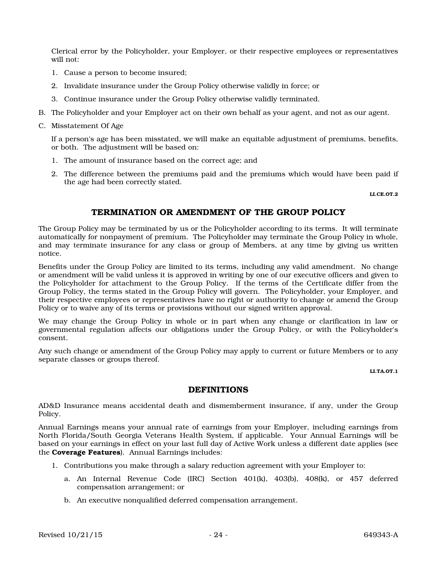Clerical error by the Policyholder, your Employer, or their respective employees or representatives will not:

- 1. Cause a person to become insured;
- 2. Invalidate insurance under the Group Policy otherwise validly in force; or
- 3. Continue insurance under the Group Policy otherwise validly terminated.
- B. The Policyholder and your Employer act on their own behalf as your agent, and not as our agent.
- C. Misstatement Of Age

If a person's age has been misstated, we will make an equitable adjustment of premiums, benefits, or both. The adjustment will be based on:

- 1. The amount of insurance based on the correct age; and
- 2. The difference between the premiums paid and the premiums which would have been paid if the age had been correctly stated.

LLCE.OT.2

### TERMINATION OR AMENDMENT OF THE GROUP POLICY

The Group Policy may be terminated by us or the Policyholder according to its terms. It will terminate automatically for nonpayment of premium. The Policyholder may terminate the Group Policy in whole, and may terminate insurance for any class or group of Members, at any time by giving us written notice.

Benefits under the Group Policy are limited to its terms, including any valid amendment. No change or amendment will be valid unless it is approved in writing by one of our executive officers and given to the Policyholder for attachment to the Group Policy. If the terms of the Certificate differ from the Group Policy, the terms stated in the Group Policy will govern. The Policyholder, your Employer, and their respective employees or representatives have no right or authority to change or amend the Group Policy or to waive any of its terms or provisions without our signed written approval.

We may change the Group Policy in whole or in part when any change or clarification in law or governmental regulation affects our obligations under the Group Policy, or with the Policyholder's consent.

Any such change or amendment of the Group Policy may apply to current or future Members or to any separate classes or groups thereof.

LI.TA.OT.1

#### DEFINITIONS

AD&D Insurance means accidental death and dismemberment insurance, if any, under the Group Policy.

Annual Earnings means your annual rate of earnings from your Employer, including earnings from North Florida/South Georgia Veterans Health System, if applicable. Your Annual Earnings will be based on your earnings in effect on your last full day of Active Work unless a different date applies (see the Coverage Features). Annual Earnings includes:

- 1. Contributions you make through a salary reduction agreement with your Employer to:
	- a. An Internal Revenue Code (IRC) Section 401(k), 403(b), 408(k), or 457 deferred compensation arrangement; or
	- b. An executive nonqualified deferred compensation arrangement.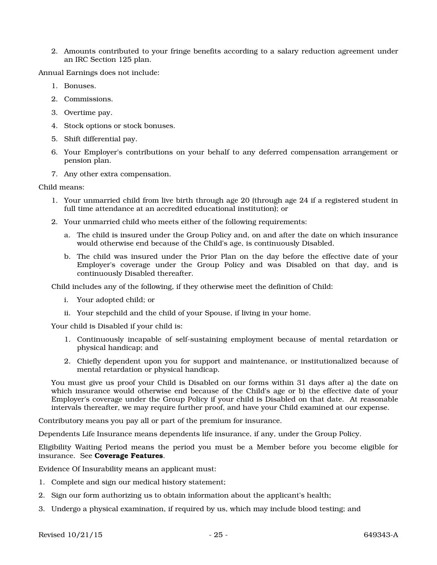2. Amounts contributed to your fringe benefits according to a salary reduction agreement under an IRC Section 125 plan.

Annual Earnings does not include:

- 1. Bonuses.
- 2. Commissions.
- 3. Overtime pay.
- 4. Stock options or stock bonuses.
- 5. Shift differential pay.
- 6. Your Employer's contributions on your behalf to any deferred compensation arrangement or pension plan.
- 7. Any other extra compensation.

#### Child means:

- 1. Your unmarried child from live birth through age 20 (through age 24 if a registered student in full time attendance at an accredited educational institution); or
- 2. Your unmarried child who meets either of the following requirements:
	- a. The child is insured under the Group Policy and, on and after the date on which insurance would otherwise end because of the Child's age, is continuously Disabled.
	- b. The child was insured under the Prior Plan on the day before the effective date of your Employer's coverage under the Group Policy and was Disabled on that day, and is continuously Disabled thereafter.

Child includes any of the following, if they otherwise meet the definition of Child:

- i. Your adopted child; or
- ii. Your stepchild and the child of your Spouse, if living in your home.

Your child is Disabled if your child is:

- 1. Continuously incapable of self-sustaining employment because of mental retardation or physical handicap; and
- 2. Chiefly dependent upon you for support and maintenance, or institutionalized because of mental retardation or physical handicap.

You must give us proof your Child is Disabled on our forms within 31 days after a) the date on which insurance would otherwise end because of the Child's age or b) the effective date of your Employer's coverage under the Group Policy if your child is Disabled on that date. At reasonable intervals thereafter, we may require further proof, and have your Child examined at our expense.

Contributory means you pay all or part of the premium for insurance.

Dependents Life Insurance means dependents life insurance, if any, under the Group Policy.

Eligibility Waiting Period means the period you must be a Member before you become eligible for insurance. See Coverage Features.

Evidence Of Insurability means an applicant must:

- 1. Complete and sign our medical history statement;
- 2. Sign our form authorizing us to obtain information about the applicant's health;
- 3. Undergo a physical examination, if required by us, which may include blood testing; and